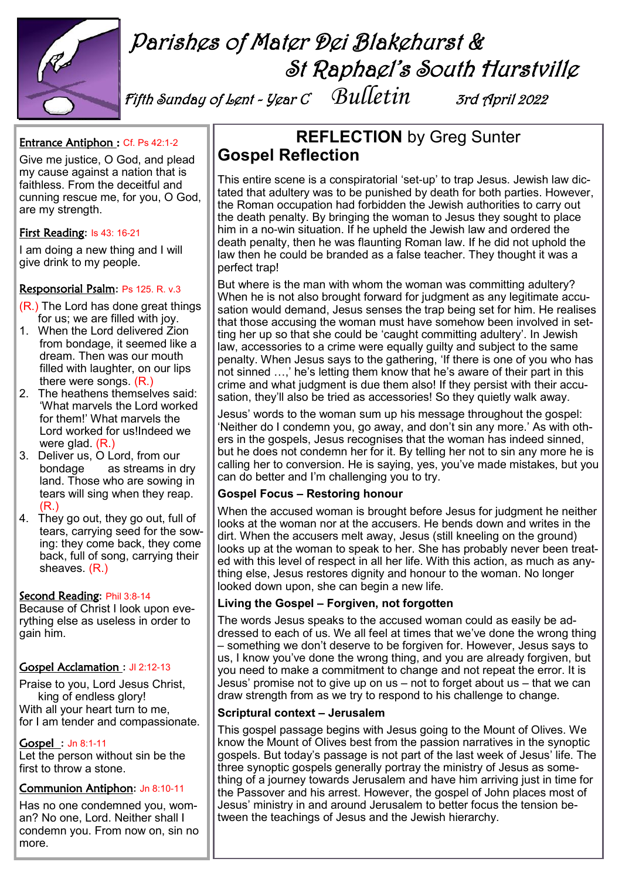

# Parishes of Mater Dei Blakehurst & St Raphael's South Hurstville

Fifth Sunday of Lent - Year C *Bulletin* 3rd April 2022

# Entrance Antiphon : Cf. Ps 42:1-2

Give me justice, O God, and plead my cause against a nation that is faithless. From the deceitful and cunning rescue me, for you, O God, are my strength.

# First Reading: Is 43: 16-21

I am doing a new thing and I will give drink to my people.

## Responsorial Psalm: Ps 125. R. v.3

- (R.) The Lord has done great things for us; we are filled with joy.
- 1. When the Lord delivered Zion from bondage, it seemed like a dream. Then was our mouth filled with laughter, on our lips there were songs. (R.)
- 2. The heathens themselves said: 'What marvels the Lord worked for them!' What marvels the Lord worked for us!Indeed we were glad. (R.)
- 3. Deliver us, O Lord, from our bondage as streams in dry land. Those who are sowing in tears will sing when they reap. (R.)
- 4. They go out, they go out, full of tears, carrying seed for the sowing: they come back, they come back, full of song, carrying their sheaves. (R.)

### Second Reading: Phil 3:8-14

Because of Christ I look upon everything else as useless in order to gain him.

# Gospel Acclamation : Jl 2:12-13

Praise to you, Lord Jesus Christ, king of endless glory! With all your heart turn to me, for I am tender and compassionate.

#### Gospel : Jn 8:1-11

Let the person without sin be the first to throw a stone.

### Communion Antiphon: Jn 8:10-11

Has no one condemned you, woman? No one, Lord. Neither shall I condemn you. From now on, sin no more.

# **REFLECTION** by Greg Sunter **Gospel Reflection**

This entire scene is a conspiratorial 'set-up' to trap Jesus. Jewish law dictated that adultery was to be punished by death for both parties. However, the Roman occupation had forbidden the Jewish authorities to carry out the death penalty. By bringing the woman to Jesus they sought to place him in a no-win situation. If he upheld the Jewish law and ordered the death penalty, then he was flaunting Roman law. If he did not uphold the law then he could be branded as a false teacher. They thought it was a perfect trap!

But where is the man with whom the woman was committing adultery? When he is not also brought forward for judgment as any legitimate accusation would demand, Jesus senses the trap being set for him. He realises that those accusing the woman must have somehow been involved in setting her up so that she could be 'caught committing adultery'. In Jewish law, accessories to a crime were equally guilty and subject to the same penalty. When Jesus says to the gathering, 'If there is one of you who has not sinned …,' he's letting them know that he's aware of their part in this crime and what judgment is due them also! If they persist with their accusation, they'll also be tried as accessories! So they quietly walk away.

Jesus' words to the woman sum up his message throughout the gospel: 'Neither do I condemn you, go away, and don't sin any more.' As with others in the gospels, Jesus recognises that the woman has indeed sinned, but he does not condemn her for it. By telling her not to sin any more he is calling her to conversion. He is saying, yes, you've made mistakes, but you can do better and I'm challenging you to try.

# **Gospel Focus – Restoring honour**

When the accused woman is brought before Jesus for judgment he neither looks at the woman nor at the accusers. He bends down and writes in the dirt. When the accusers melt away, Jesus (still kneeling on the ground) looks up at the woman to speak to her. She has probably never been treated with this level of respect in all her life. With this action, as much as anything else, Jesus restores dignity and honour to the woman. No longer looked down upon, she can begin a new life.

### **Living the Gospel – Forgiven, not forgotten**

The words Jesus speaks to the accused woman could as easily be addressed to each of us. We all feel at times that we've done the wrong thing – something we don't deserve to be forgiven for. However, Jesus says to us, I know you've done the wrong thing, and you are already forgiven, but you need to make a commitment to change and not repeat the error. It is Jesus' promise not to give up on us – not to forget about us – that we can draw strength from as we try to respond to his challenge to change.

### **Scriptural context – Jerusalem**

This gospel passage begins with Jesus going to the Mount of Olives. We know the Mount of Olives best from the passion narratives in the synoptic gospels. But today's passage is not part of the last week of Jesus' life. The three synoptic gospels generally portray the ministry of Jesus as something of a journey towards Jerusalem and have him arriving just in time for the Passover and his arrest. However, the gospel of John places most of Jesus' ministry in and around Jerusalem to better focus the tension between the teachings of Jesus and the Jewish hierarchy.